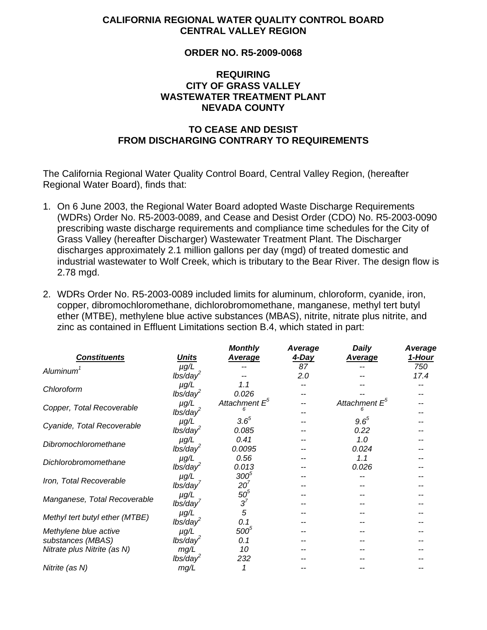#### **CALIFORNIA REGIONAL WATER QUALITY CONTROL BOARD CENTRAL VALLEY REGION**

# **ORDER NO. R5-2009-0068**

# **REQUIRING CITY OF GRASS VALLEY WASTEWATER TREATMENT PLANT NEVADA COUNTY**

# **TO CEASE AND DESIST FROM DISCHARGING CONTRARY TO REQUIREMENTS**

The California Regional Water Quality Control Board, Central Valley Region, (hereafter Regional Water Board), finds that:

- 1. On 6 June 2003, the Regional Water Board adopted Waste Discharge Requirements (WDRs) Order No. R5-2003-0089, and Cease and Desist Order (CDO) No. R5-2003-0090 prescribing waste discharge requirements and compliance time schedules for the City of Grass Valley (hereafter Discharger) Wastewater Treatment Plant. The Discharger discharges approximately 2.1 million gallons per day (mgd) of treated domestic and industrial wastewater to Wolf Creek, which is tributary to the Bear River. The design flow is 2.78 mgd.
- 2. WDRs Order No. R5-2003-0089 included limits for aluminum, chloroform, cyanide, iron, copper, dibromochloromethane, dichlorobromomethane, manganese, methyl tert butyl ether (MTBE), methylene blue active substances (MBAS), nitrite, nitrate plus nitrite, and zinc as contained in Effluent Limitations section B.4, which stated in part:

|                                |                      | <b>Monthly</b>            | Average      | <b>Daily</b>           | Average |
|--------------------------------|----------------------|---------------------------|--------------|------------------------|---------|
| <b>Constituents</b>            | <u>Units</u>         | <b>Average</b>            | <u>4-Day</u> | <b>Average</b>         | 1-Hour  |
| Aluminum <sup>1</sup>          | $\mu$ g/L            |                           | 87           |                        | 750     |
|                                | lbs/day <sup>2</sup> |                           | 2.0          |                        | 17.4    |
| Chloroform                     | $\mu$ g/L            | 1.1                       |              |                        |         |
|                                | $lbs/day^2$          | 0.026                     |              |                        |         |
| Copper, Total Recoverable      | $\mu$ g/L            | Attachment E <sup>o</sup> |              | Attachment $E^{\circ}$ |         |
|                                | $lbs/day^2$          |                           |              |                        |         |
| Cyanide, Total Recoverable     | $\mu$ g/L            | $3.6^{5}$                 |              | $9.6^{5}$              |         |
|                                | lbs/day <sup>2</sup> | 0.085                     |              | 0.22                   |         |
| Dibromochloromethane           | $\mu$ g/L            | 0.41                      |              | 1.0                    |         |
|                                | $lbs/day^2$          | 0.0095                    |              | 0.024                  |         |
| Dichlorobromomethane           | $\mu$ g/L            | 0.56                      |              | 1.1                    |         |
|                                | $lbs/day^2$          | 0.013                     |              | 0.026                  |         |
| Iron, Total Recoverable        | $\mu$ g/L            | $300^5$                   |              |                        |         |
|                                | lbs/day              | 20 <sup>7</sup>           |              |                        |         |
| Manganese, Total Recoverable   | $\mu$ g/L            | $50^5$                    |              |                        |         |
|                                | lbs/day'             | $3^7$                     |              |                        |         |
| Methyl tert butyl ether (MTBE) | $\mu$ g/L            | 5                         |              |                        |         |
|                                | $lbs/day^2$          | 0.1                       |              |                        |         |
| Methylene blue active          | $\mu$ g/L            | $500^5$                   |              |                        |         |
| substances (MBAS)              | lbs/day <sup>2</sup> | 0.1                       |              |                        |         |
| Nitrate plus Nitrite (as N)    | mg/L                 | 10                        |              |                        |         |
|                                | $lbs/day^2$          | 232                       |              |                        |         |
| Nitrite (as N)                 | mg/L                 |                           |              |                        |         |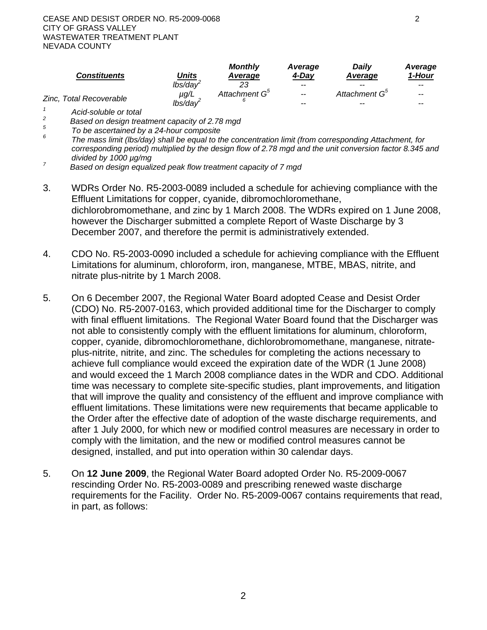| <b>Constituents</b>                    | <u>Units</u>       | <b>Monthly</b><br>Average | Average<br>4-Dav | Daily<br>Average          | Average<br>1-Hour        |
|----------------------------------------|--------------------|---------------------------|------------------|---------------------------|--------------------------|
|                                        | lbs/day            | 23                        | $-$              | $- -$                     | $- -$                    |
| Zinc, Total Recoverable                | μg/L               | Attachment G <sup>5</sup> | $\sim$ $\sim$    | Attachment G <sup>5</sup> | $\overline{\phantom{m}}$ |
|                                        | $lbs/da\checkmark$ |                           | $- -$            | $- -$                     | $- -$                    |
| $A \sim A \sim A \sim A \sim A \sim A$ |                    |                           |                  |                           |                          |

 *Acid-soluble or total* 

*2 Based on design treatment capacity of 2.78 mgd 5*

 *To be ascertained by a 24-hour composite* 

- *6 The mass limit (lbs/day) shall be equal to the concentration limit (from corresponding Attachment, for corresponding period) multiplied by the design flow of 2.78 mgd and the unit conversion factor 8.345 and divided by 1000 µg/mg 7*
- *Based on design equalized peak flow treatment capacity of 7 mgd*
- 3. WDRs Order No. R5-2003-0089 included a schedule for achieving compliance with the Effluent Limitations for copper, cyanide, dibromochloromethane, dichlorobromomethane, and zinc by 1 March 2008. The WDRs expired on 1 June 2008, however the Discharger submitted a complete Report of Waste Discharge by 3 December 2007, and therefore the permit is administratively extended.
- 4. CDO No. R5-2003-0090 included a schedule for achieving compliance with the Effluent Limitations for aluminum, chloroform, iron, manganese, MTBE, MBAS, nitrite, and nitrate plus-nitrite by 1 March 2008.
- 5. On 6 December 2007, the Regional Water Board adopted Cease and Desist Order (CDO) No. R5-2007-0163, which provided additional time for the Discharger to comply with final effluent limitations. The Regional Water Board found that the Discharger was not able to consistently comply with the effluent limitations for aluminum, chloroform, copper, cyanide, dibromochloromethane, dichlorobromomethane, manganese, nitrateplus-nitrite, nitrite, and zinc. The schedules for completing the actions necessary to achieve full compliance would exceed the expiration date of the WDR (1 June 2008) and would exceed the 1 March 2008 compliance dates in the WDR and CDO. Additional time was necessary to complete site-specific studies, plant improvements, and litigation that will improve the quality and consistency of the effluent and improve compliance with effluent limitations. These limitations were new requirements that became applicable to the Order after the effective date of adoption of the waste discharge requirements, and after 1 July 2000, for which new or modified control measures are necessary in order to comply with the limitation, and the new or modified control measures cannot be designed, installed, and put into operation within 30 calendar days.
- 5. On **12 June 2009**, the Regional Water Board adopted Order No. R5-2009-0067 rescinding Order No. R5-2003-0089 and prescribing renewed waste discharge requirements for the Facility. Order No. R5-2009-0067 contains requirements that read, in part, as follows: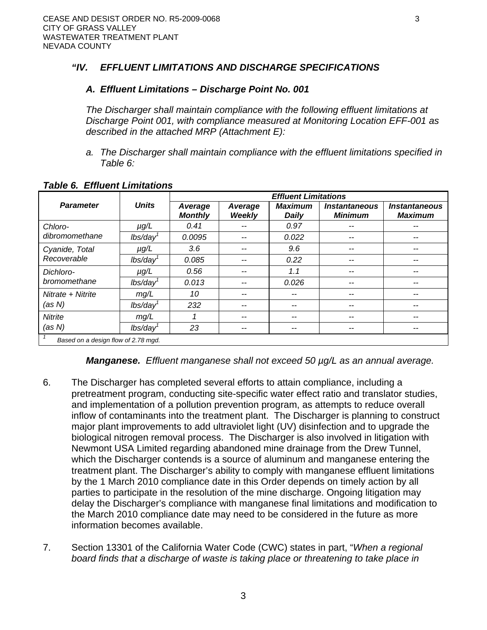# *"IV. EFFLUENT LIMITATIONS AND DISCHARGE SPECIFICATIONS*

# *A. Effluent Limitations – Discharge Point No. 001*

*The Discharger shall maintain compliance with the following effluent limitations at Discharge Point 001, with compliance measured at Monitoring Location EFF-001 as described in the attached MRP (Attachment E):* 

*a. The Discharger shall maintain compliance with the effluent limitations specified in Table 6:* 

|                                     |                      | <b>Effluent Limitations</b> |                   |                         |                                               |                                               |
|-------------------------------------|----------------------|-----------------------------|-------------------|-------------------------|-----------------------------------------------|-----------------------------------------------|
| <b>Parameter</b>                    | <b>Units</b>         | Average<br><b>Monthly</b>   | Average<br>Weekly | <b>Maximum</b><br>Daily | <i><b>Instantaneous</b></i><br><b>Minimum</b> | <i><b>Instantaneous</b></i><br><b>Maximum</b> |
| Chloro-                             | $\mu$ g/L            | 0.41                        |                   | 0.97                    |                                               |                                               |
| dibromomethane                      | $lbs/day^1$          | 0.0095                      |                   | 0.022                   | --                                            |                                               |
| Cyanide, Total                      | $\mu$ g/L            | 3.6                         |                   | 9.6                     | --                                            |                                               |
| Recoverable                         | $lbs/day^1$          | 0.085                       |                   | 0.22                    | --                                            |                                               |
| Dichloro-                           | $\mu$ g/L            | 0.56                        |                   | 1.1                     | --                                            |                                               |
| bromomethane                        | $lbs/day^1$          | 0.013                       |                   | 0.026                   | --                                            |                                               |
| Nitrate + Nitrite                   | mg/L                 | 10                          |                   | --                      | --                                            |                                               |
| (as N)                              | lbs/day <sup>1</sup> | 232                         |                   | --                      | --                                            |                                               |
| <b>Nitrite</b>                      | mg/L                 | ⊣                           |                   | --                      |                                               |                                               |
| (as N)                              | lbs/day              | 23                          | --                | --                      | --                                            |                                               |
| Based on a design flow of 2.78 mgd. |                      |                             |                   |                         |                                               |                                               |

#### *Table 6. Effluent Limitations*

*Manganese. Effluent manganese shall not exceed 50 µg/L as an annual average.* 

- 6. The Discharger has completed several efforts to attain compliance, including a pretreatment program, conducting site-specific water effect ratio and translator studies, and implementation of a pollution prevention program, as attempts to reduce overall inflow of contaminants into the treatment plant. The Discharger is planning to construct major plant improvements to add ultraviolet light (UV) disinfection and to upgrade the biological nitrogen removal process. The Discharger is also involved in litigation with Newmont USA Limited regarding abandoned mine drainage from the Drew Tunnel, which the Discharger contends is a source of aluminum and manganese entering the treatment plant. The Discharger's ability to comply with manganese effluent limitations by the 1 March 2010 compliance date in this Order depends on timely action by all parties to participate in the resolution of the mine discharge. Ongoing litigation may delay the Discharger's compliance with manganese final limitations and modification to the March 2010 compliance date may need to be considered in the future as more information becomes available.
- 7. Section 13301 of the California Water Code (CWC) states in part, "*When a regional board finds that a discharge of waste is taking place or threatening to take place in*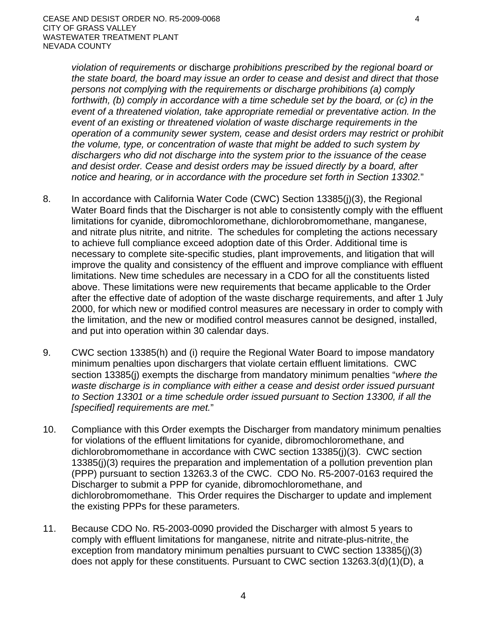*violation of requirements or* discharge *prohibitions prescribed by the regional board or the state board, the board may issue an order to cease and desist and direct that those persons not complying with the requirements or discharge prohibitions (a) comply forthwith, (b) comply in accordance with a time schedule set by the board, or (c) in the event of a threatened violation, take appropriate remedial or preventative action. In the event of an existing or threatened violation of waste discharge requirements in the operation of a community sewer system, cease and desist orders may restrict or prohibit the volume, type, or concentration of waste that might be added to such system by dischargers who did not discharge into the system prior to the issuance of the cease and desist order. Cease and desist orders may be issued directly by a board, after notice and hearing, or in accordance with the procedure set forth in Section 13302.*"

- 8. In accordance with California Water Code (CWC) Section 13385(j)(3), the Regional Water Board finds that the Discharger is not able to consistently comply with the effluent limitations for cyanide, dibromochloromethane, dichlorobromomethane, manganese, and nitrate plus nitrite, and nitrite. The schedules for completing the actions necessary to achieve full compliance exceed adoption date of this Order. Additional time is necessary to complete site-specific studies, plant improvements, and litigation that will improve the quality and consistency of the effluent and improve compliance with effluent limitations. New time schedules are necessary in a CDO for all the constituents listed above. These limitations were new requirements that became applicable to the Order after the effective date of adoption of the waste discharge requirements, and after 1 July 2000, for which new or modified control measures are necessary in order to comply with the limitation, and the new or modified control measures cannot be designed, installed, and put into operation within 30 calendar days.
- 9. CWC section 13385(h) and (i) require the Regional Water Board to impose mandatory minimum penalties upon dischargers that violate certain effluent limitations. CWC section 13385(j) exempts the discharge from mandatory minimum penalties "*where the waste discharge is in compliance with either a cease and desist order issued pursuant to Section 13301 or a time schedule order issued pursuant to Section 13300, if all the [specified] requirements are met.*"
- 10. Compliance with this Order exempts the Discharger from mandatory minimum penalties for violations of the effluent limitations for cyanide, dibromochloromethane, and dichlorobromomethane in accordance with CWC section 13385(j)(3). CWC section 13385(j)(3) requires the preparation and implementation of a pollution prevention plan (PPP) pursuant to section 13263.3 of the CWC. CDO No. R5-2007-0163 required the Discharger to submit a PPP for cyanide, dibromochloromethane, and dichlorobromomethane. This Order requires the Discharger to update and implement the existing PPPs for these parameters.
- 11. Because CDO No. R5-2003-0090 provided the Discharger with almost 5 years to comply with effluent limitations for manganese, nitrite and nitrate-plus-nitrite, the exception from mandatory minimum penalties pursuant to CWC section 13385(j)(3) does not apply for these constituents. Pursuant to CWC section 13263.3(d)(1)(D), a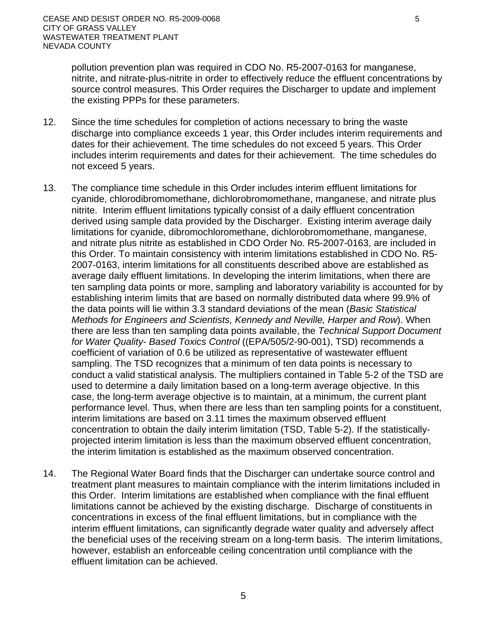pollution prevention plan was required in CDO No. R5-2007-0163 for manganese, nitrite, and nitrate-plus-nitrite in order to effectively reduce the effluent concentrations by source control measures. This Order requires the Discharger to update and implement the existing PPPs for these parameters.

- 12. Since the time schedules for completion of actions necessary to bring the waste discharge into compliance exceeds 1 year, this Order includes interim requirements and dates for their achievement. The time schedules do not exceed 5 years. This Order includes interim requirements and dates for their achievement. The time schedules do not exceed 5 years.
- 13. The compliance time schedule in this Order includes interim effluent limitations for cyanide, chlorodibromomethane, dichlorobromomethane, manganese, and nitrate plus nitrite. Interim effluent limitations typically consist of a daily effluent concentration derived using sample data provided by the Discharger. Existing interim average daily limitations for cyanide, dibromochloromethane, dichlorobromomethane, manganese, and nitrate plus nitrite as established in CDO Order No. R5-2007-0163, are included in this Order. To maintain consistency with interim limitations established in CDO No. R5- 2007-0163, interim limitations for all constituents described above are established as average daily effluent limitations. In developing the interim limitations, when there are ten sampling data points or more, sampling and laboratory variability is accounted for by establishing interim limits that are based on normally distributed data where 99.9% of the data points will lie within 3.3 standard deviations of the mean (*Basic Statistical Methods for Engineers and Scientists, Kennedy and Neville, Harper and Row*). When there are less than ten sampling data points available, the *Technical Support Document for Water Quality- Based Toxics Control* ((EPA/505/2-90-001), TSD) recommends a coefficient of variation of 0.6 be utilized as representative of wastewater effluent sampling. The TSD recognizes that a minimum of ten data points is necessary to conduct a valid statistical analysis. The multipliers contained in Table 5-2 of the TSD are used to determine a daily limitation based on a long-term average objective. In this case, the long-term average objective is to maintain, at a minimum, the current plant performance level. Thus, when there are less than ten sampling points for a constituent, interim limitations are based on 3.11 times the maximum observed effluent concentration to obtain the daily interim limitation (TSD, Table 5-2). If the statisticallyprojected interim limitation is less than the maximum observed effluent concentration, the interim limitation is established as the maximum observed concentration.
- 14. The Regional Water Board finds that the Discharger can undertake source control and treatment plant measures to maintain compliance with the interim limitations included in this Order. Interim limitations are established when compliance with the final effluent limitations cannot be achieved by the existing discharge. Discharge of constituents in concentrations in excess of the final effluent limitations, but in compliance with the interim effluent limitations, can significantly degrade water quality and adversely affect the beneficial uses of the receiving stream on a long-term basis. The interim limitations, however, establish an enforceable ceiling concentration until compliance with the effluent limitation can be achieved.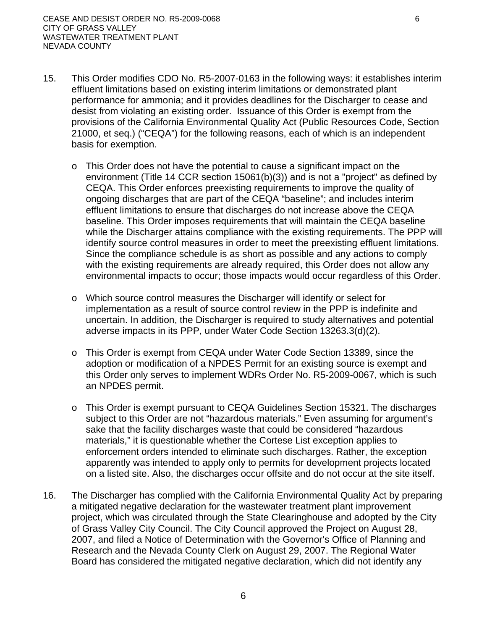- 15. This Order modifies CDO No. R5-2007-0163 in the following ways: it establishes interim effluent limitations based on existing interim limitations or demonstrated plant performance for ammonia; and it provides deadlines for the Discharger to cease and desist from violating an existing order. Issuance of this Order is exempt from the provisions of the California Environmental Quality Act (Public Resources Code, Section 21000, et seq.) ("CEQA") for the following reasons, each of which is an independent basis for exemption.
	- o This Order does not have the potential to cause a significant impact on the environment (Title 14 CCR section 15061(b)(3)) and is not a "project" as defined by CEQA. This Order enforces preexisting requirements to improve the quality of ongoing discharges that are part of the CEQA "baseline"; and includes interim effluent limitations to ensure that discharges do not increase above the CEQA baseline. This Order imposes requirements that will maintain the CEQA baseline while the Discharger attains compliance with the existing requirements. The PPP will identify source control measures in order to meet the preexisting effluent limitations. Since the compliance schedule is as short as possible and any actions to comply with the existing requirements are already required, this Order does not allow any environmental impacts to occur; those impacts would occur regardless of this Order.
	- o Which source control measures the Discharger will identify or select for implementation as a result of source control review in the PPP is indefinite and uncertain. In addition, the Discharger is required to study alternatives and potential adverse impacts in its PPP, under Water Code Section 13263.3(d)(2).
	- o This Order is exempt from CEQA under Water Code Section 13389, since the adoption or modification of a NPDES Permit for an existing source is exempt and this Order only serves to implement WDRs Order No. R5-2009-0067, which is such an NPDES permit.
	- o This Order is exempt pursuant to CEQA Guidelines Section 15321. The discharges subject to this Order are not "hazardous materials." Even assuming for argument's sake that the facility discharges waste that could be considered "hazardous materials," it is questionable whether the Cortese List exception applies to enforcement orders intended to eliminate such discharges. Rather, the exception apparently was intended to apply only to permits for development projects located on a listed site. Also, the discharges occur offsite and do not occur at the site itself.
- 16. The Discharger has complied with the California Environmental Quality Act by preparing a mitigated negative declaration for the wastewater treatment plant improvement project, which was circulated through the State Clearinghouse and adopted by the City of Grass Valley City Council. The City Council approved the Project on August 28, 2007, and filed a Notice of Determination with the Governor's Office of Planning and Research and the Nevada County Clerk on August 29, 2007. The Regional Water Board has considered the mitigated negative declaration, which did not identify any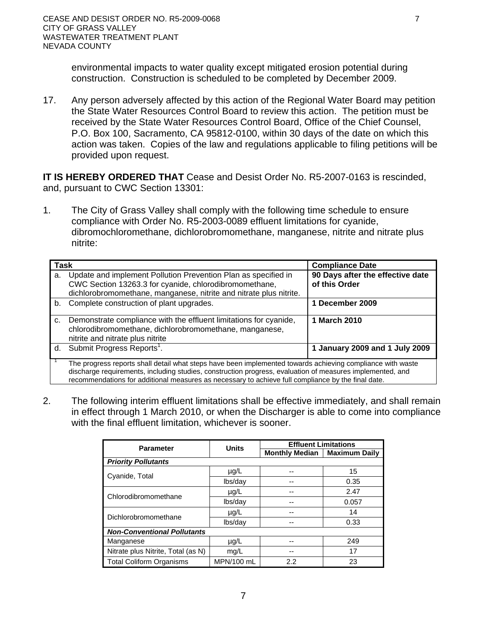environmental impacts to water quality except mitigated erosion potential during construction. Construction is scheduled to be completed by December 2009.

17. Any person adversely affected by this action of the Regional Water Board may petition the State Water Resources Control Board to review this action. The petition must be received by the State Water Resources Control Board, Office of the Chief Counsel, P.O. Box 100, Sacramento, CA 95812-0100, within 30 days of the date on which this action was taken. Copies of the law and regulations applicable to filing petitions will be provided upon request.

**IT IS HEREBY ORDERED THAT** Cease and Desist Order No. R5-2007-0163 is rescinded, and, pursuant to CWC Section 13301:

1. The City of Grass Valley shall comply with the following time schedule to ensure compliance with Order No. R5-2003-0089 effluent limitations for cyanide, dibromochloromethane, dichlorobromomethane, manganese, nitrite and nitrate plus nitrite:

| <b>Task</b> |                                                                                                                                                                                                                                                                                                                               | <b>Compliance Date</b>                            |  |  |
|-------------|-------------------------------------------------------------------------------------------------------------------------------------------------------------------------------------------------------------------------------------------------------------------------------------------------------------------------------|---------------------------------------------------|--|--|
| a.          | Update and implement Pollution Prevention Plan as specified in<br>CWC Section 13263.3 for cyanide, chlorodibromomethane,<br>dichlorobromomethane, manganese, nitrite and nitrate plus nitrite.                                                                                                                                | 90 Days after the effective date<br>of this Order |  |  |
| b.          | Complete construction of plant upgrades.                                                                                                                                                                                                                                                                                      | 1 December 2009                                   |  |  |
| c.          | Demonstrate compliance with the effluent limitations for cyanide,<br>chlorodibromomethane, dichlorobromomethane, manganese,<br>nitrite and nitrate plus nitrite                                                                                                                                                               | 1 March 2010                                      |  |  |
|             | d. Submit Progress Reports <sup>1</sup> .                                                                                                                                                                                                                                                                                     | 1 January 2009 and 1 July 2009                    |  |  |
|             | The progress reports shall detail what steps have been implemented towards achieving compliance with waste<br>discharge requirements, including studies, construction progress, evaluation of measures implemented, and<br>recommendations for additional measures as necessary to achieve full compliance by the final date. |                                                   |  |  |

2. The following interim effluent limitations shall be effective immediately, and shall remain in effect through 1 March 2010, or when the Discharger is able to come into compliance with the final effluent limitation, whichever is sooner.

| <b>Parameter</b>                   | <b>Units</b> | <b>Effluent Limitations</b> |                      |  |  |  |
|------------------------------------|--------------|-----------------------------|----------------------|--|--|--|
|                                    |              | <b>Monthly Median</b>       | <b>Maximum Daily</b> |  |  |  |
| <b>Priority Pollutants</b>         |              |                             |                      |  |  |  |
| Cyanide, Total                     | $\mu$ g/L    |                             | 15                   |  |  |  |
|                                    | lbs/day      |                             | 0.35                 |  |  |  |
| Chlorodibromomethane               | $\mu$ g/L    | --                          | 2.47                 |  |  |  |
|                                    | lbs/day      | --                          | 0.057                |  |  |  |
| Dichlorobromomethane               | $\mu$ g/L    | --                          | 14                   |  |  |  |
|                                    | lbs/day      | --                          | 0.33                 |  |  |  |
| <b>Non-Conventional Pollutants</b> |              |                             |                      |  |  |  |
| Manganese                          | $\mu$ g/L    |                             | 249                  |  |  |  |
| Nitrate plus Nitrite, Total (as N) | mq/L         |                             | 17                   |  |  |  |
| <b>Total Coliform Organisms</b>    | MPN/100 mL   | 2.2                         | 23                   |  |  |  |